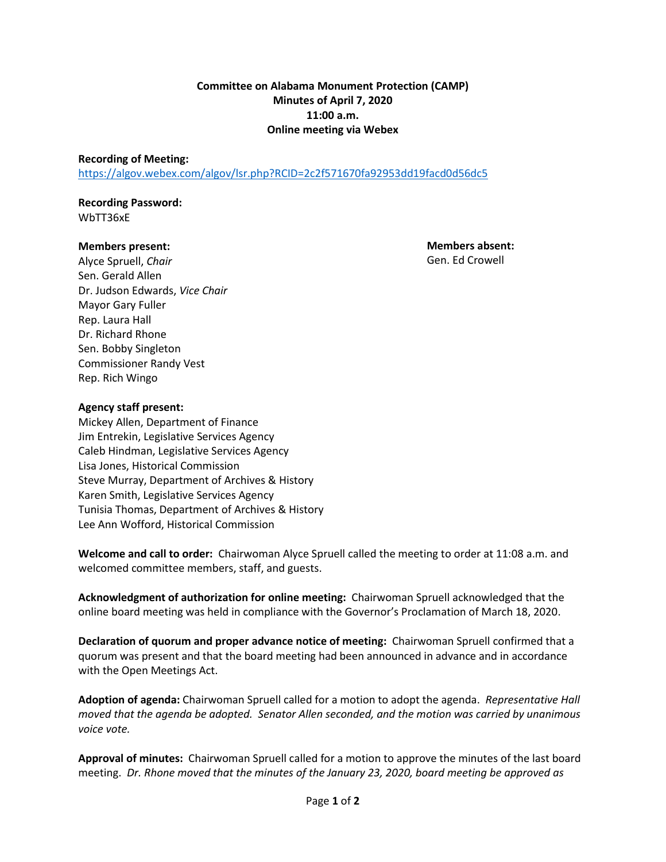# **Committee on Alabama Monument Protection (CAMP) Minutes of April 7, 2020 11:00 a.m. Online meeting via Webex**

## **Recording of Meeting:**

<https://algov.webex.com/algov/lsr.php?RCID=2c2f571670fa92953dd19facd0d56dc5>

#### **Recording Password:** WbTT36xE

## **Members present:**

**Members absent:** Gen. Ed Crowell

Alyce Spruell, *Chair* Sen. Gerald Allen Dr. Judson Edwards, *Vice Chair* Mayor Gary Fuller Rep. Laura Hall Dr. Richard Rhone Sen. Bobby Singleton Commissioner Randy Vest Rep. Rich Wingo

## **Agency staff present:**

Mickey Allen, Department of Finance Jim Entrekin, Legislative Services Agency Caleb Hindman, Legislative Services Agency Lisa Jones, Historical Commission Steve Murray, Department of Archives & History Karen Smith, Legislative Services Agency Tunisia Thomas, Department of Archives & History Lee Ann Wofford, Historical Commission

**Welcome and call to order:** Chairwoman Alyce Spruell called the meeting to order at 11:08 a.m. and welcomed committee members, staff, and guests.

**Acknowledgment of authorization for online meeting:** Chairwoman Spruell acknowledged that the online board meeting was held in compliance with the Governor's Proclamation of March 18, 2020.

**Declaration of quorum and proper advance notice of meeting:** Chairwoman Spruell confirmed that a quorum was present and that the board meeting had been announced in advance and in accordance with the Open Meetings Act.

**Adoption of agenda:** Chairwoman Spruell called for a motion to adopt the agenda. *Representative Hall moved that the agenda be adopted. Senator Allen seconded, and the motion was carried by unanimous voice vote.*

**Approval of minutes:** Chairwoman Spruell called for a motion to approve the minutes of the last board meeting. *Dr. Rhone moved that the minutes of the January 23, 2020, board meeting be approved as*